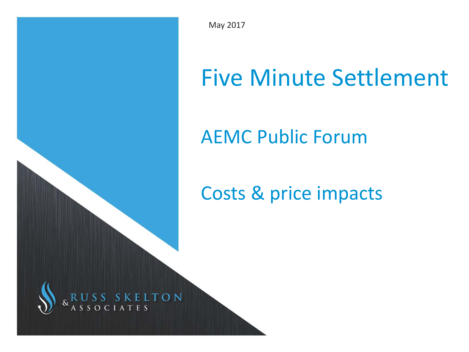

May 2017

# Five Minute Settlement

# AEMC Public Forum

# Costs & price impacts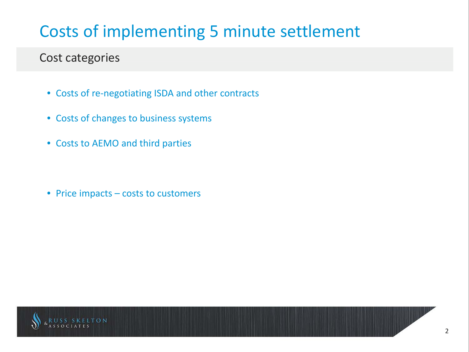### Cost categories

- Costs of re-negotiating ISDA and other contracts
- Costs of changes to business systems
- Costs to AEMO and third parties

• Price impacts – costs to customers

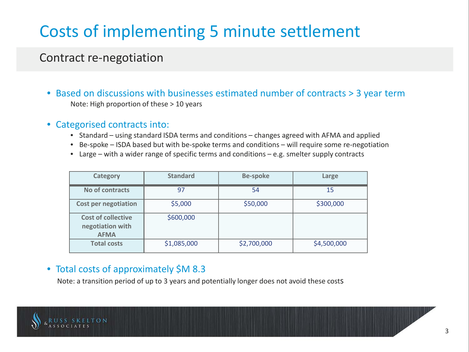### Contract re-negotiation

- Based on discussions with businesses estimated number of contracts > 3 year term Note: High proportion of these > 10 years
- Categorised contracts into:
	- Standard using standard ISDA terms and conditions changes agreed with AFMA and applied
	- Be-spoke ISDA based but with be-spoke terms and conditions will require some re-negotiation
	- Large with a wider range of specific terms and conditions e.g. smelter supply contracts

| Category                                                     | <b>Standard</b> | <b>Be-spoke</b> | Large       |  |
|--------------------------------------------------------------|-----------------|-----------------|-------------|--|
| No of contracts                                              | 97              | 54              | 15          |  |
| <b>Cost per negotiation</b>                                  | \$5,000         | \$50,000        | \$300,000   |  |
| <b>Cost of collective</b><br>negotiation with<br><b>AFMA</b> | \$600,000       |                 |             |  |
| <b>Total costs</b>                                           | \$1,085,000     | \$2,700,000     | \$4,500,000 |  |

#### • Total costs of approximately \$M 8.3

Note: a transition period of up to 3 years and potentially longer does not avoid these costs

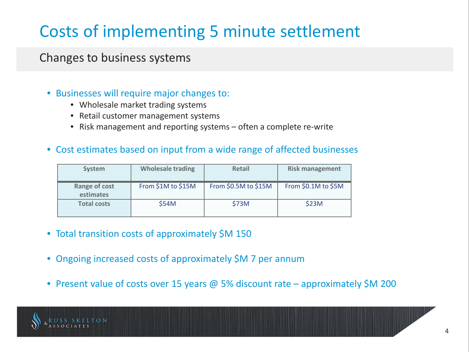#### Changes to business systems

#### • Businesses will require major changes to:

- Wholesale market trading systems
- Retail customer management systems
- Risk management and reporting systems often a complete re-write

#### • Cost estimates based on input from a wide range of affected businesses

| <b>System</b>              | <b>Wholesale trading</b> | <b>Retail</b>        | <b>Risk management</b> |
|----------------------------|--------------------------|----------------------|------------------------|
| Range of cost<br>estimates | From \$1M to \$15M       | From \$0.5M to \$15M | From \$0.1M to \$5M    |
| <b>Total costs</b>         | \$54M                    | \$73M                | \$23M                  |

- Total transition costs of approximately \$M 150
- Ongoing increased costs of approximately \$M 7 per annum
- Present value of costs over 15 years @ 5% discount rate approximately \$M 200

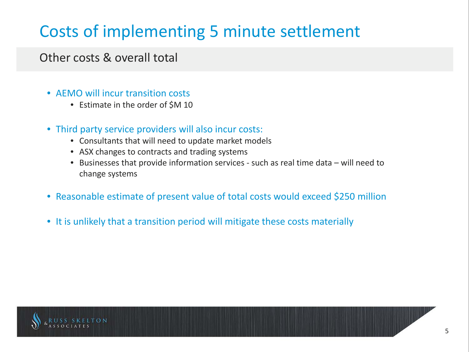#### Other costs & overall total

- AFMO will incur transition costs
	- Estimate in the order of \$M 10
- Third party service providers will also incur costs:
	- Consultants that will need to update market models
	- ASX changes to contracts and trading systems
	- Businesses that provide information services such as real time data will need to change systems
- Reasonable estimate of present value of total costs would exceed \$250 million
- It is unlikely that a transition period will mitigate these costs materially